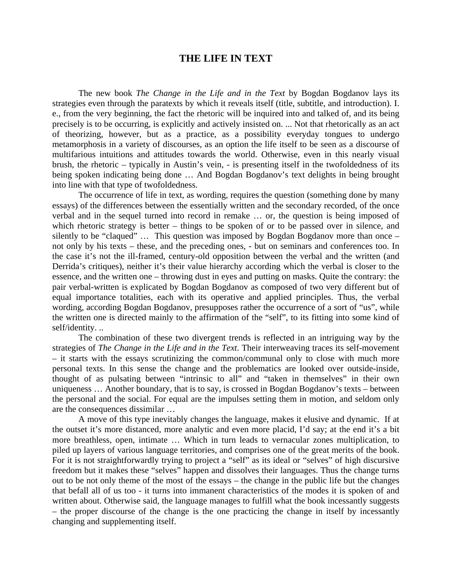## **THE LIFE IN TEXT**

The new book *The Change in the Life and in the Text* by Bogdan Bogdanov lays its strategies even through the paratexts by which it reveals itself (title, subtitle, and introduction). I. e., from the very beginning, the fact the rhetoric will be inquired into and talked of, and its being precisely is to be occurring, is explicitly and actively insisted on. ... Not that rhetorically as an act of theorizing, however, but as a practice, as a possibility everyday tongues to undergo metamorphosis in a variety of discourses, as an option the life itself to be seen as a discourse of multifarious intuitions and attitudes towards the world. Otherwise, even in this nearly visual brush, the rhetoric – typically in Austin's vein, - is presenting itself in the twofoldedness of its being spoken indicating being done … And Bogdan Bogdanov's text delights in being brought into line with that type of twofoldedness.

The occurrence of life in text, as wording, requires the question (something done by many essays) of the differences between the essentially written and the secondary recorded, of the once verbal and in the sequel turned into record in remake … or, the question is being imposed of which rhetoric strategy is better – things to be spoken of or to be passed over in silence, and silently to be "claqued" … This question was imposed by Bogdan Bogdanov more than once – not only by his texts – these, and the preceding ones, - but on seminars and conferences too. In the case it's not the ill-framed, century-old opposition between the verbal and the written (and Derrida's critiques), neither it's their value hierarchy according which the verbal is closer to the essence, and the written one – throwing dust in eyes and putting on masks. Quite the contrary: the pair verbal-written is explicated by Bogdan Bogdanov as composed of two very different but of equal importance totalities, each with its operative and applied principles. Thus, the verbal wording, according Bogdan Bogdanov, presupposes rather the occurrence of a sort of "us", while the written one is directed mainly to the affirmation of the "self", to its fitting into some kind of self/identity. ..

The combination of these two divergent trends is reflected in an intriguing way by the strategies of *The Change in the Life and in the Text*. Their interweaving traces its self-movement – it starts with the essays scrutinizing the common/communal only to close with much more personal texts. In this sense the change and the problematics are looked over outside-inside, thought of as pulsating between "intrinsic to all" and "taken in themselves" in their own uniqueness ... Another boundary, that is to say, is crossed in Bogdan Bogdanov's texts – between the personal and the social. For equal are the impulses setting them in motion, and seldom only are the consequences dissimilar …

A move of this type inevitably changes the language, makes it elusive and dynamic. If at the outset it's more distanced, more analytic and even more placid, I'd say; at the end it's a bit more breathless, open, intimate … Which in turn leads to vernacular zones multiplication, to piled up layers of various language territories, and comprises one of the great merits of the book. For it is not straightforwardly trying to project a "self" as its ideal or "selves" of high discursive freedom but it makes these "selves" happen and dissolves their languages. Thus the change turns out to be not only theme of the most of the essays – the change in the public life but the changes that befall all of us too - it turns into immanent characteristics of the modes it is spoken of and written about. Otherwise said, the language manages to fulfill what the book incessantly suggests – the proper discourse of the change is the one practicing the change in itself by incessantly changing and supplementing itself.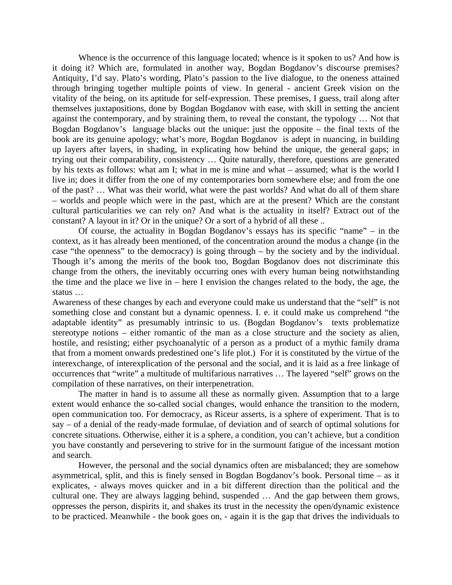Whence is the occurrence of this language located; whence is it spoken to us? And how is it doing it? Which are, formulated in another way, Bogdan Bogdanov's discourse premises? Antiquity, I'd say. Plato's wording, Plato's passion to the live dialogue, to the oneness attained through bringing together multiple points of view. In general - ancient Greek vision on the vitality of the being, on its aptitude for self-expression. These premises, I guess, trail along after themselves juxtapositions, done by Bogdan Bogdanov with ease, with skill in setting the ancient against the contemporary, and by straining them, to reveal the constant, the typology … Not that Bogdan Bogdanov's language blacks out the unique: just the opposite – the final texts of the book are its genuine apology; what's more, Bogdan Bogdanov is adept in nuancing, in building up layers after layers, in shading, in explicating how behind the unique, the general gaps; in trying out their comparability, consistency … Quite naturally, therefore, questions are generated by his texts as follows: what am I; what in me is mine and what – assumed; what is the world I live in; does it differ from the one of my contemporaries born somewhere else; and from the one of the past? … What was their world, what were the past worlds? And what do all of them share – worlds and people which were in the past, which are at the present? Which are the constant cultural particularities we can rely on? And what is the actuality in itself? Extract out of the constant? A layout in it? Or in the unique? Or a sort of a hybrid of all these ..

Of course, the actuality in Bogdan Bogdanov's essays has its specific "name" – in the context, as it has already been mentioned, of the concentration around the modus a change (in the case "the openness" to the democracy) is going through – by the society and by the individual. Though it's among the merits of the book too, Bogdan Bogdanov does not discriminate this change from the others, the inevitably occurring ones with every human being notwithstanding the time and the place we live in – here I envision the changes related to the body, the age, the status …

Awareness of these changes by each and everyone could make us understand that the "self" is not something close and constant but a dynamic openness. I. e. it could make us comprehend "the adaptable identity" as presumably intrinsic to us. (Bogdan Bogdanov's texts problematize stereotype notions – either romantic of the man as a close structure and the society as alien, hostile, and resisting; either psychoanalytic of a person as a product of a mythic family drama that from a moment onwards predestined one's life plot.) For it is constituted by the virtue of the interexchange, of interexplication of the personal and the social, and it is laid as a free linkage of occurrences that "write" a multitude of multifarious narratives … The layered "self" grows on the compilation of these narratives, on their interpenetration.

The matter in hand is to assume all these as normally given. Assumption that to a large extent would enhance the so-called social changes, would enhance the transition to the modern, open communication too. For democracy, as Riceur asserts, is a sphere of experiment. That is to say – of a denial of the ready-made formulae, of deviation and of search of optimal solutions for concrete situations. Otherwise, either it is a sphere, a condition, you can't achieve, but a condition you have constantly and persevering to strive for in the surmount fatigue of the incessant motion and search.

However, the personal and the social dynamics often are misbalanced; they are somehow asymmetrical, split, and this is finely sensed in Bogdan Bogdanov's book. Personal time – as it explicates, - always moves quicker and in a bit different direction than the political and the cultural one. They are always lagging behind, suspended … And the gap between them grows, oppresses the person, dispirits it, and shakes its trust in the necessity the open/dynamic existence to be practiced. Meanwhile - the book goes on, - again it is the gap that drives the individuals to